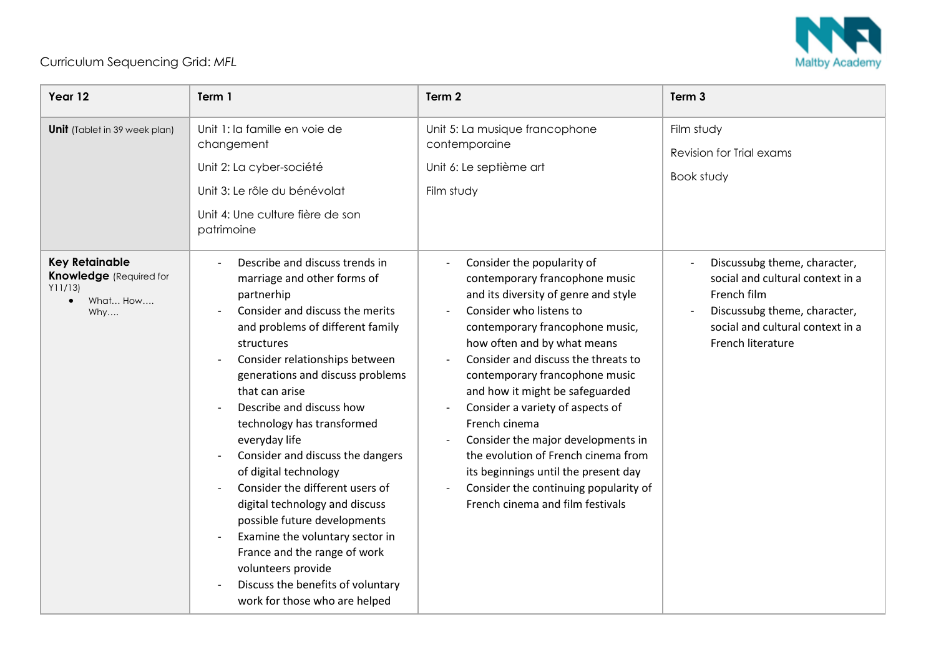

## Curriculum Sequencing Grid: *MFL*

| Year 12                                                                                           | Term 1                                                                                                                                                                                                                                                                                                                                                                                                                                                                                                                                                                                                                                                               | Term 2                                                                                                                                                                                                                                                                                                                                                                                                                                                                                                                                                               | Term <sub>3</sub>                                                                                                                                                        |
|---------------------------------------------------------------------------------------------------|----------------------------------------------------------------------------------------------------------------------------------------------------------------------------------------------------------------------------------------------------------------------------------------------------------------------------------------------------------------------------------------------------------------------------------------------------------------------------------------------------------------------------------------------------------------------------------------------------------------------------------------------------------------------|----------------------------------------------------------------------------------------------------------------------------------------------------------------------------------------------------------------------------------------------------------------------------------------------------------------------------------------------------------------------------------------------------------------------------------------------------------------------------------------------------------------------------------------------------------------------|--------------------------------------------------------------------------------------------------------------------------------------------------------------------------|
| <b>Unit</b> (Tablet in 39 week plan)                                                              | Unit 1: la famille en voie de<br>changement<br>Unit 2: La cyber-société<br>Unit 3: Le rôle du bénévolat<br>Unit 4: Une culture fière de son<br>patrimoine                                                                                                                                                                                                                                                                                                                                                                                                                                                                                                            | Unit 5: La musique francophone<br>contemporaine<br>Unit 6: Le septième art<br>Film study                                                                                                                                                                                                                                                                                                                                                                                                                                                                             | Film study<br>Revision for Trial exams<br>Book study                                                                                                                     |
| <b>Key Retainable</b><br><b>Knowledge</b> (Required for<br>Y11/13<br>What How<br>$\bullet$<br>Why | Describe and discuss trends in<br>marriage and other forms of<br>partnerhip<br>Consider and discuss the merits<br>and problems of different family<br>structures<br>Consider relationships between<br>generations and discuss problems<br>that can arise<br>Describe and discuss how<br>technology has transformed<br>everyday life<br>Consider and discuss the dangers<br>of digital technology<br>Consider the different users of<br>digital technology and discuss<br>possible future developments<br>Examine the voluntary sector in<br>France and the range of work<br>volunteers provide<br>Discuss the benefits of voluntary<br>work for those who are helped | Consider the popularity of<br>contemporary francophone music<br>and its diversity of genre and style<br>Consider who listens to<br>contemporary francophone music,<br>how often and by what means<br>Consider and discuss the threats to<br>contemporary francophone music<br>and how it might be safeguarded<br>Consider a variety of aspects of<br>French cinema<br>Consider the major developments in<br>the evolution of French cinema from<br>its beginnings until the present day<br>Consider the continuing popularity of<br>French cinema and film festivals | Discussubg theme, character,<br>social and cultural context in a<br>French film<br>Discussubg theme, character,<br>social and cultural context in a<br>French literature |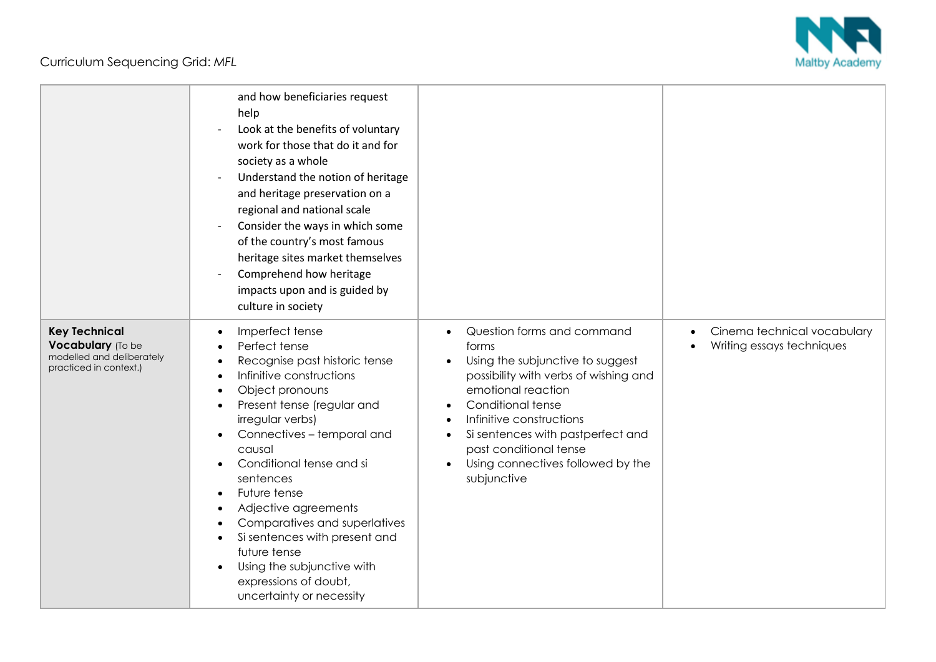Curriculum Sequencing Grid: *MFL*



|                                                                                                  | and how beneficiaries request<br>help<br>Look at the benefits of voluntary<br>work for those that do it and for<br>society as a whole<br>Understand the notion of heritage<br>and heritage preservation on a<br>regional and national scale<br>Consider the ways in which some<br>of the country's most famous<br>heritage sites market themselves<br>Comprehend how heritage<br>impacts upon and is guided by<br>culture in society                             |                                                                                                                                                                                                                                                                                                                         |                                                                       |
|--------------------------------------------------------------------------------------------------|------------------------------------------------------------------------------------------------------------------------------------------------------------------------------------------------------------------------------------------------------------------------------------------------------------------------------------------------------------------------------------------------------------------------------------------------------------------|-------------------------------------------------------------------------------------------------------------------------------------------------------------------------------------------------------------------------------------------------------------------------------------------------------------------------|-----------------------------------------------------------------------|
| <b>Key Technical</b><br>Vocabulary (To be<br>modelled and deliberately<br>practiced in context.) | Imperfect tense<br>Perfect tense<br>Recognise past historic tense<br>Infinitive constructions<br>Object pronouns<br>Present tense (regular and<br>irregular verbs)<br>Connectives - temporal and<br>causal<br>Conditional tense and si<br>sentences<br>Future tense<br>Adjective agreements<br>Comparatives and superlatives<br>Si sentences with present and<br>future tense<br>Using the subjunctive with<br>expressions of doubt,<br>uncertainty or necessity | Question forms and command<br>forms<br>Using the subjunctive to suggest<br>$\bullet$<br>possibility with verbs of wishing and<br>emotional reaction<br>Conditional tense<br>Infinitive constructions<br>Si sentences with pastperfect and<br>past conditional tense<br>Using connectives followed by the<br>subjunctive | Cinema technical vocabulary<br>$\bullet$<br>Writing essays techniques |